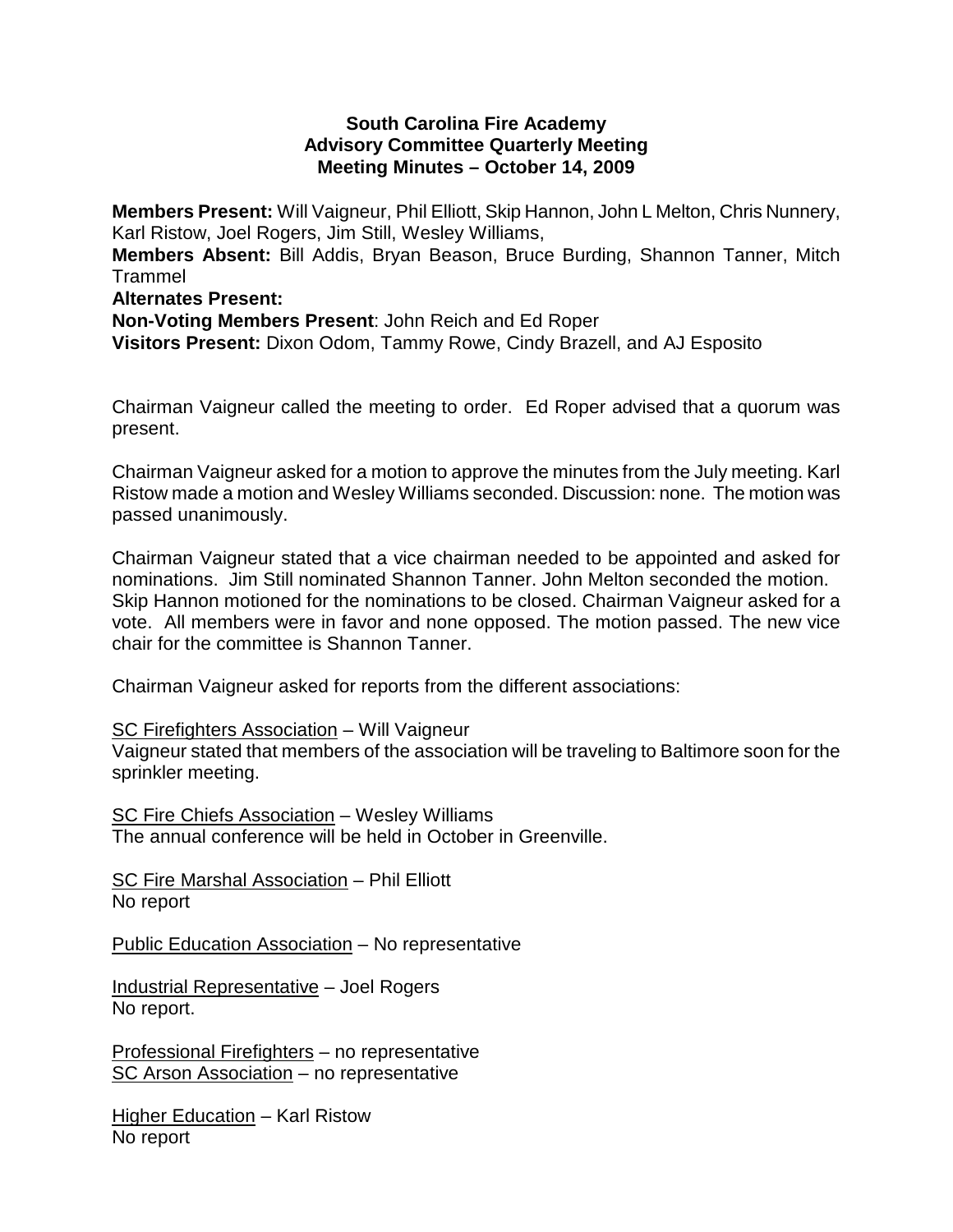#### **South Carolina Fire Academy Advisory Committee Quarterly Meeting Meeting Minutes – October 14, 2009**

**Members Present:** Will Vaigneur, Phil Elliott, Skip Hannon, John L Melton, Chris Nunnery, Karl Ristow, Joel Rogers, Jim Still, Wesley Williams, **Members Absent:** Bill Addis, Bryan Beason, Bruce Burding, Shannon Tanner, Mitch Trammel **Alternates Present:**

**Non-Voting Members Present**: John Reich and Ed Roper **Visitors Present:** Dixon Odom, Tammy Rowe, Cindy Brazell, and AJ Esposito

Chairman Vaigneur called the meeting to order. Ed Roper advised that a quorum was present.

Chairman Vaigneur asked for a motion to approve the minutes from the July meeting. Karl Ristow made a motion and Wesley Williams seconded. Discussion: none. The motion was passed unanimously.

Chairman Vaigneur stated that a vice chairman needed to be appointed and asked for nominations. Jim Still nominated Shannon Tanner. John Melton seconded the motion. Skip Hannon motioned for the nominations to be closed. Chairman Vaigneur asked for a vote. All members were in favor and none opposed. The motion passed. The new vice chair for the committee is Shannon Tanner.

Chairman Vaigneur asked for reports from the different associations:

### SC Firefighters Association – Will Vaigneur

Vaigneur stated that members of the association will be traveling to Baltimore soon for the sprinkler meeting.

SC Fire Chiefs Association – Wesley Williams The annual conference will be held in October in Greenville.

SC Fire Marshal Association – Phil Elliott No report

Public Education Association – No representative

Industrial Representative – Joel Rogers No report.

Professional Firefighters – no representative SC Arson Association – no representative

Higher Education – Karl Ristow No report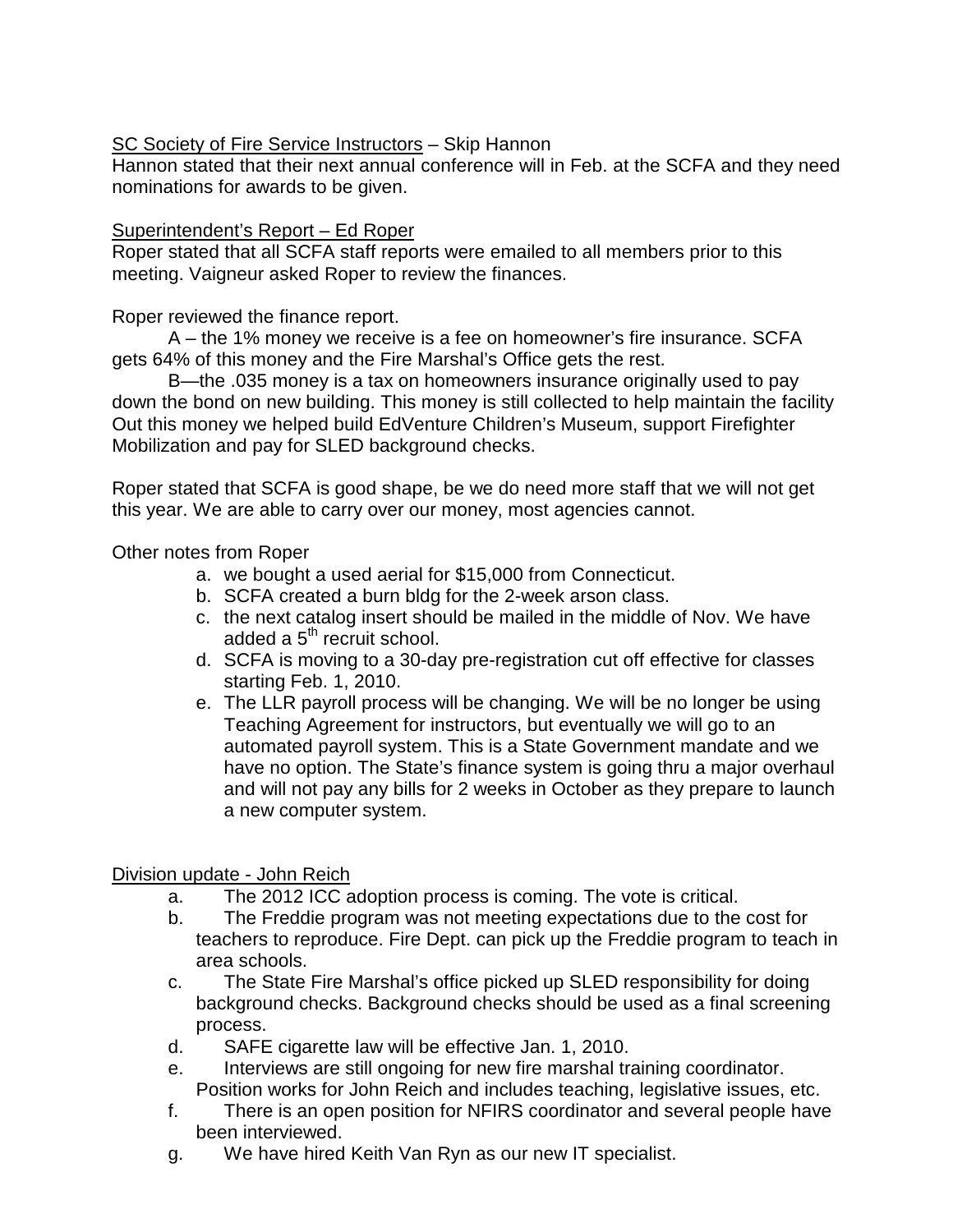SC Society of Fire Service Instructors – Skip Hannon

Hannon stated that their next annual conference will in Feb. at the SCFA and they need nominations for awards to be given.

# Superintendent's Report – Ed Roper

Roper stated that all SCFA staff reports were emailed to all members prior to this meeting. Vaigneur asked Roper to review the finances.

Roper reviewed the finance report.

A – the 1% money we receive is a fee on homeowner's fire insurance. SCFA gets 64% of this money and the Fire Marshal's Office gets the rest.

B—the .035 money is a tax on homeowners insurance originally used to pay down the bond on new building. This money is still collected to help maintain the facility Out this money we helped build EdVenture Children's Museum, support Firefighter Mobilization and pay for SLED background checks.

Roper stated that SCFA is good shape, be we do need more staff that we will not get this year. We are able to carry over our money, most agencies cannot.

Other notes from Roper

- a. we bought a used aerial for \$15,000 from Connecticut.
- b. SCFA created a burn bldg for the 2-week arson class.
- c. the next catalog insert should be mailed in the middle of Nov. We have added a  $5<sup>th</sup>$  recruit school.
- d. SCFA is moving to a 30-day pre-registration cut off effective for classes starting Feb. 1, 2010.
- e. The LLR payroll process will be changing. We will be no longer be using Teaching Agreement for instructors, but eventually we will go to an automated payroll system. This is a State Government mandate and we have no option. The State's finance system is going thru a major overhaul and will not pay any bills for 2 weeks in October as they prepare to launch a new computer system.

Division update - John Reich

- a. The 2012 ICC adoption process is coming. The vote is critical.
- b. The Freddie program was not meeting expectations due to the cost for teachers to reproduce. Fire Dept. can pick up the Freddie program to teach in area schools.
- c. The State Fire Marshal's office picked up SLED responsibility for doing background checks. Background checks should be used as a final screening process.
- d. SAFE cigarette law will be effective Jan. 1, 2010.
- e. Interviews are still ongoing for new fire marshal training coordinator. Position works for John Reich and includes teaching, legislative issues, etc.
- f. There is an open position for NFIRS coordinator and several people have been interviewed.
- g. We have hired Keith Van Ryn as our new IT specialist.